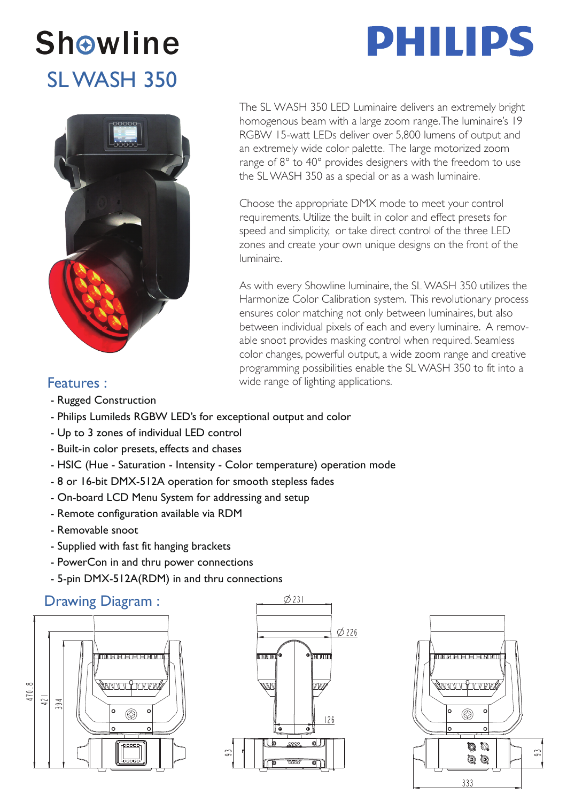### **Showline** SL WASH 350



## **DHILIDS**

The SL WASH 350 LED Luminaire delivers an extremely bright homogenous beam with a large zoom range. The luminaire's 19 RGBW 15-watt LEDs deliver over 5,800 lumens of output and an extremely wide color palette. The large motorized zoom range of 8° to 40° provides designers with the freedom to use the SL WASH 350 as a special or as a wash luminaire.

Choose the appropriate DMX mode to meet your control requirements. Utilize the built in color and effect presets for speed and simplicity, or take direct control of the three LED zones and create your own unique designs on the front of the luminaire.

As with every Showline luminaire, the SL WASH 350 utilizes the Harmonize Color Calibration system. This revolutionary process ensures color matching not only between luminaires, but also between individual pixels of each and every luminaire. A removable snoot provides masking control when required. Seamless color changes, powerful output, a wide zoom range and creative programming possibilities enable the SL WASH 350 to fit into a wide range of lighting applications.

#### Features :

- Rugged Construction
- Philips Lumileds RGBW LED's for exceptional output and color
- Up to 3 zones of individual LED control
- Built-in color presets, effects and chases
- HSIC (Hue Saturation Intensity Color temperature) operation mode
- 8 or 16-bit DMX-512A operation for smooth stepless fades
- On-board LCD Menu System for addressing and setup
- Remote configuration available via RDM
- Removable snoot
- Supplied with fast fit hanging brackets
- PowerCon in and thru power connections
- 5-pin DMX-512A(RDM) in and thru connections

#### Drawing Diagram :